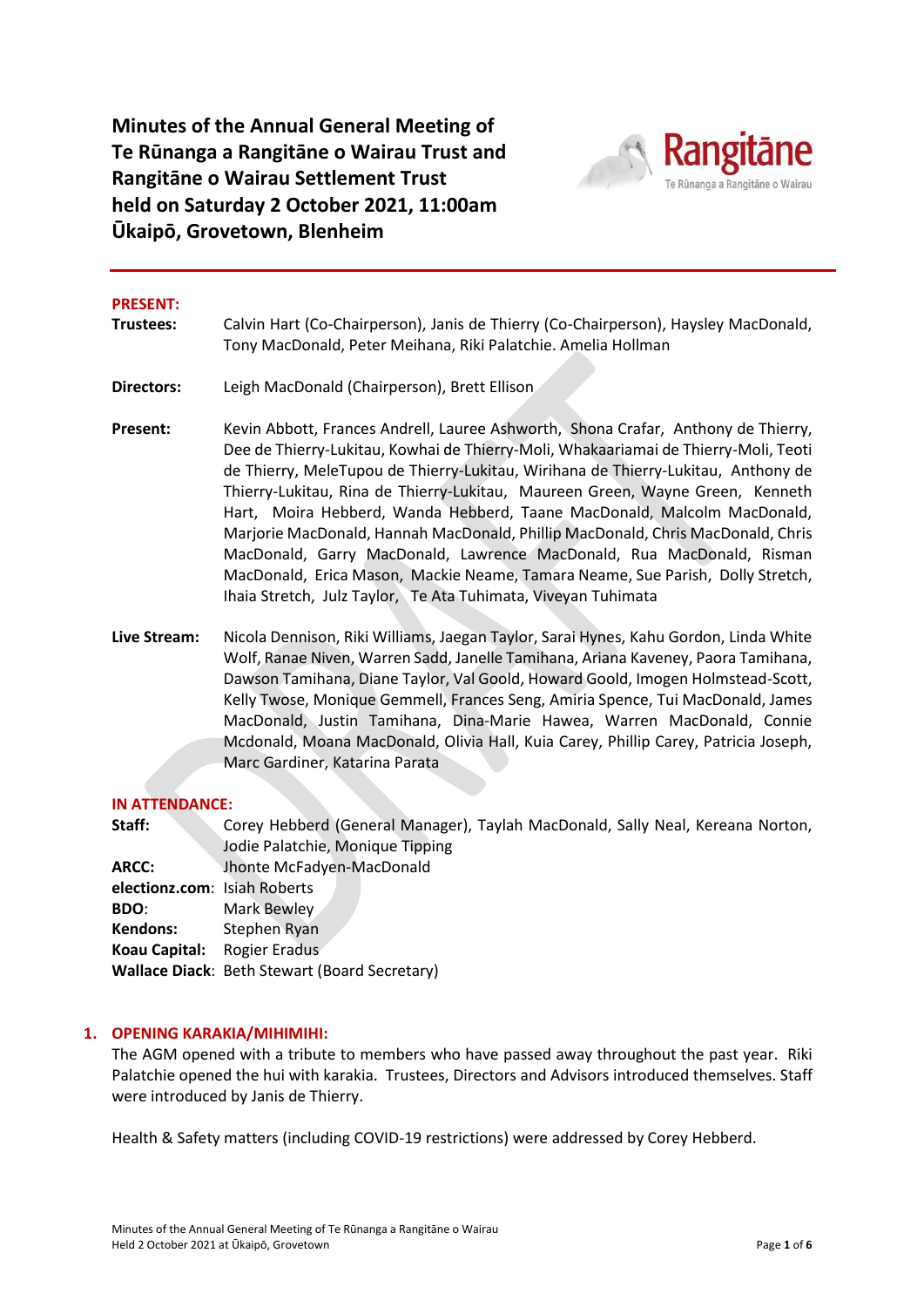**Minutes of the Annual General Meeting of Te Rūnanga a Rangitāne o Wairau Trust and Rangitāne o Wairau Settlement Trust held on Saturday 2 October 2021, 11:00am Ūkaipō, Grovetown, Blenheim**



#### **PRESENT:**

- **Trustees:** Calvin Hart (Co-Chairperson), Janis de Thierry (Co-Chairperson), Haysley MacDonald, Tony MacDonald, Peter Meihana, Riki Palatchie. Amelia Hollman
- **Directors:** Leigh MacDonald (Chairperson), Brett Ellison
- **Present:** Kevin Abbott, Frances Andrell, Lauree Ashworth, Shona Crafar, Anthony de Thierry, Dee de Thierry-Lukitau, Kowhai de Thierry-Moli, Whakaariamai de Thierry-Moli, Teoti de Thierry, MeleTupou de Thierry-Lukitau, Wirihana de Thierry-Lukitau, Anthony de Thierry-Lukitau, Rina de Thierry-Lukitau, Maureen Green, Wayne Green, Kenneth Hart, Moira Hebberd, Wanda Hebberd, Taane MacDonald, Malcolm MacDonald, Marjorie MacDonald, Hannah MacDonald, Phillip MacDonald, Chris MacDonald, Chris MacDonald, Garry MacDonald, Lawrence MacDonald, Rua MacDonald, Risman MacDonald, Erica Mason, Mackie Neame, Tamara Neame, Sue Parish, Dolly Stretch, Ihaia Stretch, Julz Taylor, Te Ata Tuhimata, Viveyan Tuhimata
- **Live Stream:** Nicola Dennison, Riki Williams, Jaegan Taylor, Sarai Hynes, Kahu Gordon, Linda White Wolf, Ranae Niven, Warren Sadd, Janelle Tamihana, Ariana Kaveney, Paora Tamihana, Dawson Tamihana, Diane Taylor, Val Goold, Howard Goold, Imogen Holmstead-Scott, Kelly Twose, Monique Gemmell, Frances Seng, Amiria Spence, Tui MacDonald, James MacDonald, Justin Tamihana, Dina-Marie Hawea, Warren MacDonald, Connie Mcdonald, Moana MacDonald, Olivia Hall, Kuia Carey, Phillip Carey, Patricia Joseph, Marc Gardiner, Katarina Parata

#### **IN ATTENDANCE:**

| Staff:                       | Corey Hebberd (General Manager), Taylah MacDonald, Sally Neal, Kereana Norton, |
|------------------------------|--------------------------------------------------------------------------------|
|                              | Jodie Palatchie, Monique Tipping                                               |
| ARCC:                        | Jhonte McFadyen-MacDonald                                                      |
| electionz.com: Isiah Roberts |                                                                                |
| <b>BDO:</b>                  | Mark Bewley                                                                    |
| Kendons:                     | Stephen Ryan                                                                   |
| Koau Capital:                | Rogier Eradus                                                                  |
|                              | Wallace Diack: Beth Stewart (Board Secretary)                                  |
|                              |                                                                                |

#### **1. OPENING KARAKIA/MIHIMIHI:**

The AGM opened with a tribute to members who have passed away throughout the past year. Riki Palatchie opened the hui with karakia. Trustees, Directors and Advisors introduced themselves. Staff were introduced by Janis de Thierry.

Health & Safety matters (including COVID-19 restrictions) were addressed by Corey Hebberd.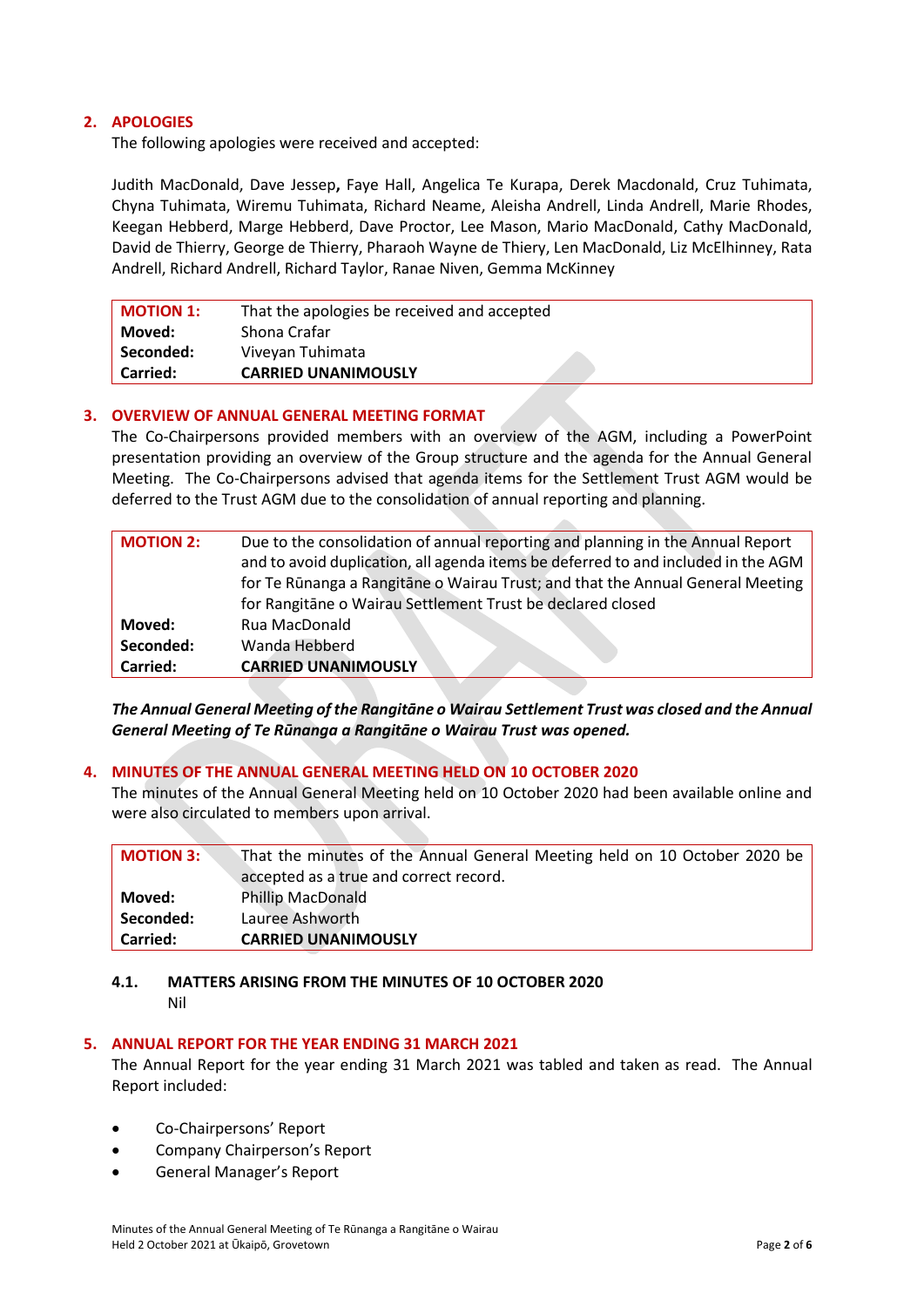# **2. APOLOGIES**

The following apologies were received and accepted:

Judith MacDonald, Dave Jessep**,** Faye Hall, Angelica Te Kurapa, Derek Macdonald, Cruz Tuhimata, Chyna Tuhimata, Wiremu Tuhimata, Richard Neame, Aleisha Andrell, Linda Andrell, Marie Rhodes, Keegan Hebberd, Marge Hebberd, Dave Proctor, Lee Mason, Mario MacDonald, Cathy MacDonald, David de Thierry, George de Thierry, Pharaoh Wayne de Thiery, Len MacDonald, Liz McElhinney, Rata Andrell, Richard Andrell, Richard Taylor, Ranae Niven, Gemma McKinney

| <b>MOTION 1:</b> | That the apologies be received and accepted |
|------------------|---------------------------------------------|
| Moved:           | Shona Crafar                                |
| Seconded:        | Viveyan Tuhimata                            |
| <b>Carried:</b>  | <b>CARRIED UNANIMOUSLY</b>                  |

### **3. OVERVIEW OF ANNUAL GENERAL MEETING FORMAT**

The Co-Chairpersons provided members with an overview of the AGM, including a PowerPoint presentation providing an overview of the Group structure and the agenda for the Annual General Meeting. The Co-Chairpersons advised that agenda items for the Settlement Trust AGM would be deferred to the Trust AGM due to the consolidation of annual reporting and planning.

 $\mathcal{A}$  .

| <b>MOTION 2:</b> | Due to the consolidation of annual reporting and planning in the Annual Report    |
|------------------|-----------------------------------------------------------------------------------|
|                  | and to avoid duplication, all agenda items be deferred to and included in the AGM |
|                  | for Te Rūnanga a Rangitāne o Wairau Trust; and that the Annual General Meeting    |
|                  | for Rangitane o Wairau Settlement Trust be declared closed                        |
| Moved:           | Rua MacDonald                                                                     |
| Seconded:        | Wanda Hebberd                                                                     |
| Carried:         | <b>CARRIED UNANIMOUSLY</b>                                                        |

*The Annual General Meeting of the Rangitāne o Wairau Settlement Trust was closed and the Annual General Meeting of Te Rūnanga a Rangitāne o Wairau Trust was opened.*

### **4. MINUTES OF THE ANNUAL GENERAL MEETING HELD ON 10 OCTOBER 2020**

The minutes of the Annual General Meeting held on 10 October 2020 had been available online and were also circulated to members upon arrival.

| <b>MOTION 3:</b> | That the minutes of the Annual General Meeting held on 10 October 2020 be |
|------------------|---------------------------------------------------------------------------|
|                  | accepted as a true and correct record.                                    |
| Moved:           | <b>Phillip MacDonald</b>                                                  |
| Seconded:        | Lauree Ashworth                                                           |
| <b>Carried:</b>  | <b>CARRIED UNANIMOUSLY</b>                                                |

### **4.1. MATTERS ARISING FROM THE MINUTES OF 10 OCTOBER 2020**

Nil

# **5. ANNUAL REPORT FOR THE YEAR ENDING 31 MARCH 2021**

The Annual Report for the year ending 31 March 2021 was tabled and taken as read. The Annual Report included:

- Co-Chairpersons' Report
- Company Chairperson's Report
- General Manager's Report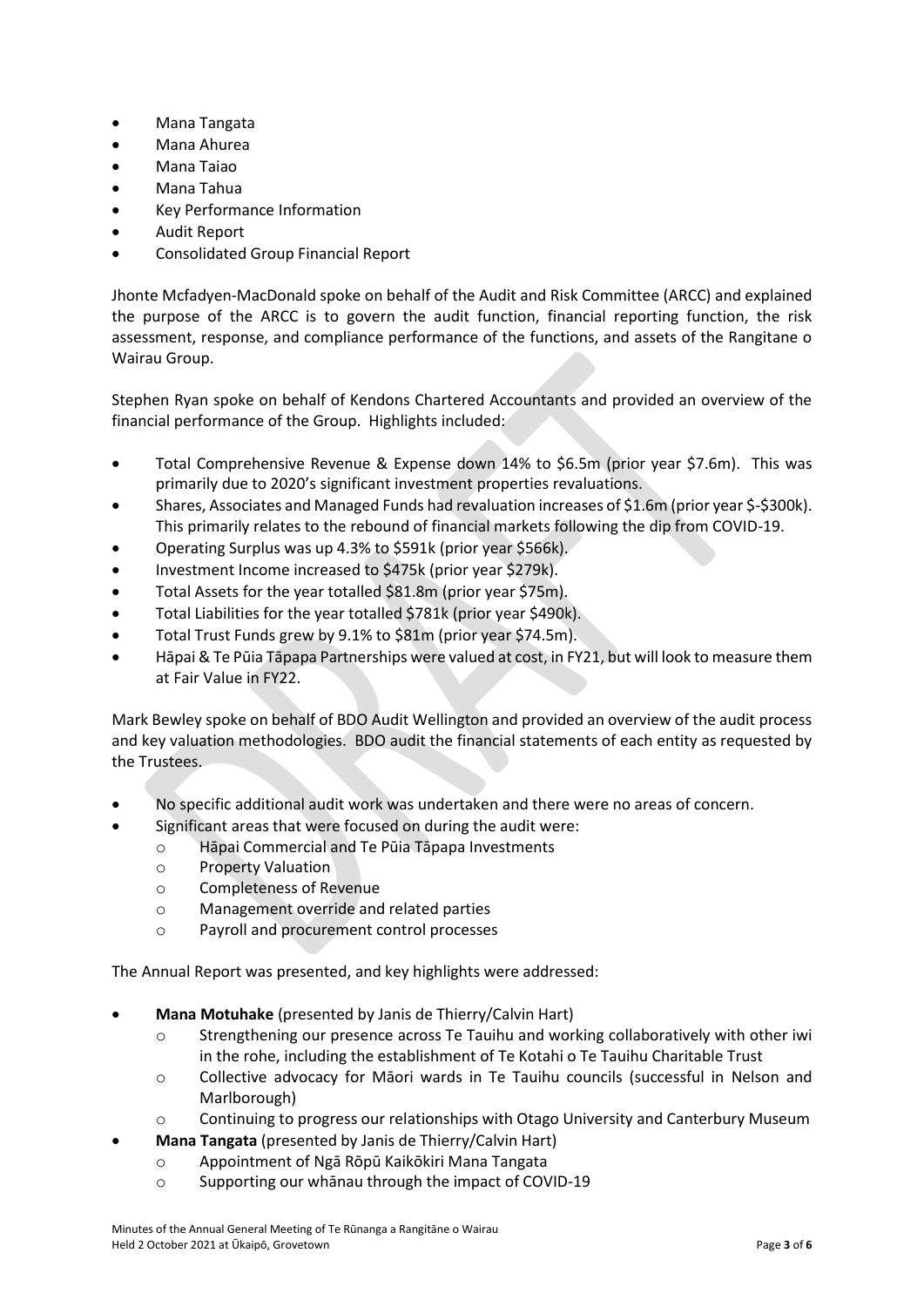- Mana Tangata
- Mana Ahurea
- Mana Taiao
- Mana Tahua
- Key Performance Information
- Audit Report
- Consolidated Group Financial Report

Jhonte Mcfadyen-MacDonald spoke on behalf of the Audit and Risk Committee (ARCC) and explained the purpose of the ARCC is to govern the audit function, financial reporting function, the risk assessment, response, and compliance performance of the functions, and assets of the Rangitane o Wairau Group.

Stephen Ryan spoke on behalf of Kendons Chartered Accountants and provided an overview of the financial performance of the Group. Highlights included:

- Total Comprehensive Revenue & Expense down 14% to \$6.5m (prior year \$7.6m). This was primarily due to 2020's significant investment properties revaluations.
- Shares, Associates and Managed Funds had revaluation increases of \$1.6m (prior year \$-\$300k). This primarily relates to the rebound of financial markets following the dip from COVID-19.
- Operating Surplus was up 4.3% to \$591k (prior year \$566k).
- Investment Income increased to \$475k (prior year \$279k).
- Total Assets for the year totalled \$81.8m (prior year \$75m).
- Total Liabilities for the year totalled \$781k (prior year \$490k).
- Total Trust Funds grew by 9.1% to \$81m (prior year \$74.5m).
- Hāpai & Te Pūia Tāpapa Partnerships were valued at cost, in FY21, but will look to measure them at Fair Value in FY22.

Mark Bewley spoke on behalf of BDO Audit Wellington and provided an overview of the audit process and key valuation methodologies. BDO audit the financial statements of each entity as requested by the Trustees.

- No specific additional audit work was undertaken and there were no areas of concern.
	- Significant areas that were focused on during the audit were:
		- o Hāpai Commercial and Te Pūia Tāpapa Investments
		- o Property Valuation
		- o Completeness of Revenue
		- o Management override and related parties
		- o Payroll and procurement control processes

The Annual Report was presented, and key highlights were addressed:

- **Mana Motuhake** (presented by Janis de Thierry/Calvin Hart)
	- o Strengthening our presence across Te Tauihu and working collaboratively with other iwi in the rohe, including the establishment of Te Kotahi o Te Tauihu Charitable Trust
	- o Collective advocacy for Māori wards in Te Tauihu councils (successful in Nelson and Marlborough)
	- $\circ$  Continuing to progress our relationships with Otago University and Canterbury Museum
- **Mana Tangata** (presented by Janis de Thierry/Calvin Hart)
	- o Appointment of Ngā Rōpū Kaikōkiri Mana Tangata
	- o Supporting our whānau through the impact of COVID-19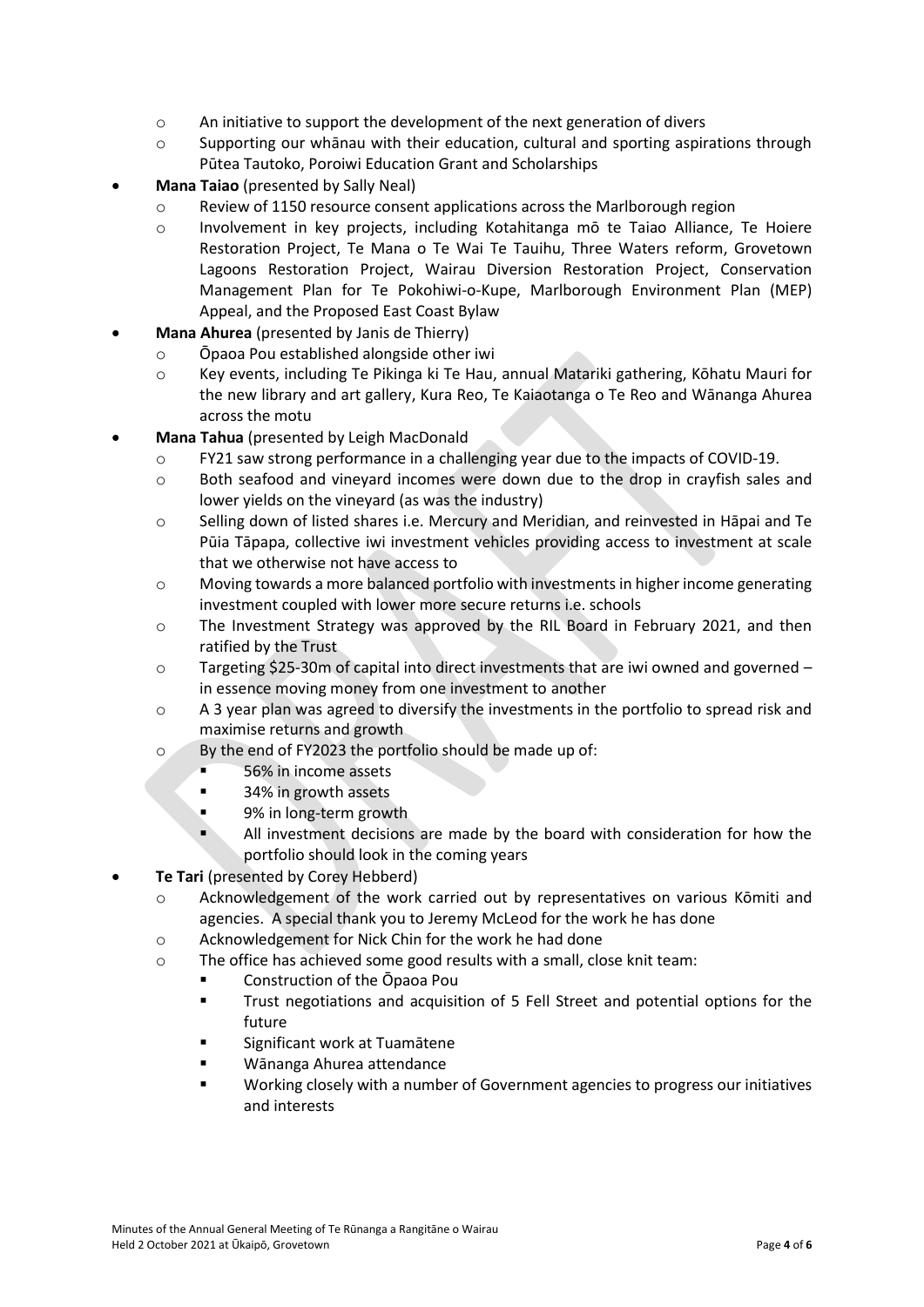- o An initiative to support the development of the next generation of divers
- o Supporting our whānau with their education, cultural and sporting aspirations through Pūtea Tautoko, Poroiwi Education Grant and Scholarships
- **Mana Taiao** (presented by Sally Neal)
	- o Review of 1150 resource consent applications across the Marlborough region
	- o Involvement in key projects, including Kotahitanga mō te Taiao Alliance, Te Hoiere Restoration Project, Te Mana o Te Wai Te Tauihu, Three Waters reform, Grovetown Lagoons Restoration Project, Wairau Diversion Restoration Project, Conservation Management Plan for Te Pokohiwi-o-Kupe, Marlborough Environment Plan (MEP) Appeal, and the Proposed East Coast Bylaw
- **Mana Ahurea** (presented by Janis de Thierry)
	- o Ōpaoa Pou established alongside other iwi
	- o Key events, including Te Pikinga ki Te Hau, annual Matariki gathering, Kōhatu Mauri for the new library and art gallery, Kura Reo, Te Kaiaotanga o Te Reo and Wānanga Ahurea across the motu
- **Mana Tahua** (presented by Leigh MacDonald
	- o FY21 saw strong performance in a challenging year due to the impacts of COVID-19.
	- o Both seafood and vineyard incomes were down due to the drop in crayfish sales and lower yields on the vineyard (as was the industry)
	- o Selling down of listed shares i.e. Mercury and Meridian, and reinvested in Hāpai and Te Pūia Tāpapa, collective iwi investment vehicles providing access to investment at scale that we otherwise not have access to
	- $\circ$  Moving towards a more balanced portfolio with investments in higher income generating investment coupled with lower more secure returns i.e. schools
	- o The Investment Strategy was approved by the RIL Board in February 2021, and then ratified by the Trust
	- o Targeting \$25-30m of capital into direct investments that are iwi owned and governed in essence moving money from one investment to another
	- $\circ$  A 3 year plan was agreed to diversify the investments in the portfolio to spread risk and maximise returns and growth
	- o By the end of FY2023 the portfolio should be made up of:
		- 56% in income assets
		- 34% in growth assets
		- 9% in long-term growth
		- All investment decisions are made by the board with consideration for how the portfolio should look in the coming years
- **Te Tari** (presented by Corey Hebberd)
	- o Acknowledgement of the work carried out by representatives on various Kōmiti and agencies. A special thank you to Jeremy McLeod for the work he has done
	- o Acknowledgement for Nick Chin for the work he had done
	- o The office has achieved some good results with a small, close knit team:
		- Construction of the Opaoa Pou
		- Trust negotiations and acquisition of 5 Fell Street and potential options for the future
		- Significant work at Tuamātene
		- Wānanga Ahurea attendance
		- Working closely with a number of Government agencies to progress our initiatives and interests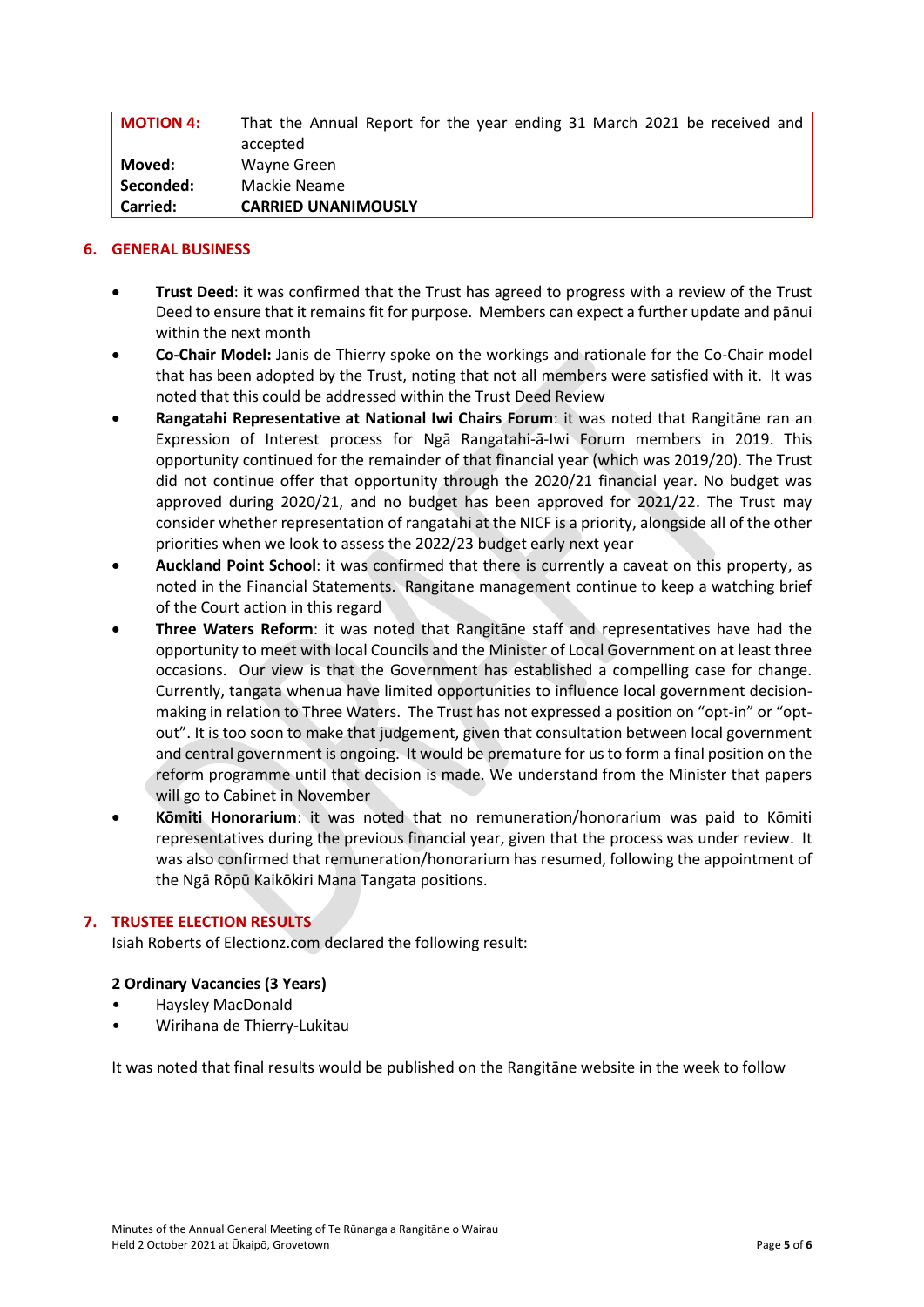| <b>MOTION 4:</b> | That the Annual Report for the year ending 31 March 2021 be received and |
|------------------|--------------------------------------------------------------------------|
|                  | accepted                                                                 |
| Moved:           | Wayne Green                                                              |
| Seconded:        | Mackie Neame                                                             |
| <b>Carried:</b>  | <b>CARRIED UNANIMOUSLY</b>                                               |

# **6. GENERAL BUSINESS**

- **Trust Deed**: it was confirmed that the Trust has agreed to progress with a review of the Trust Deed to ensure that it remains fit for purpose. Members can expect a further update and pānui within the next month
- **Co-Chair Model:** Janis de Thierry spoke on the workings and rationale for the Co-Chair model that has been adopted by the Trust, noting that not all members were satisfied with it. It was noted that this could be addressed within the Trust Deed Review
- **Rangatahi Representative at National Iwi Chairs Forum**: it was noted that Rangitāne ran an Expression of Interest process for Ngā Rangatahi-ā-Iwi Forum members in 2019. This opportunity continued for the remainder of that financial year (which was 2019/20). The Trust did not continue offer that opportunity through the 2020/21 financial year. No budget was approved during 2020/21, and no budget has been approved for 2021/22. The Trust may consider whether representation of rangatahi at the NICF is a priority, alongside all of the other priorities when we look to assess the 2022/23 budget early next year
- **Auckland Point School**: it was confirmed that there is currently a caveat on this property, as noted in the Financial Statements. Rangitane management continue to keep a watching brief of the Court action in this regard
- **Three Waters Reform**: it was noted that Rangitāne staff and representatives have had the opportunity to meet with local Councils and the Minister of Local Government on at least three occasions. Our view is that the Government has established a compelling case for change. Currently, tangata whenua have limited opportunities to influence local government decisionmaking in relation to Three Waters. The Trust has not expressed a position on "opt-in" or "optout". It is too soon to make that judgement, given that consultation between local government and central government is ongoing. It would be premature for us to form a final position on the reform programme until that decision is made. We understand from the Minister that papers will go to Cabinet in November
- **Kōmiti Honorarium**: it was noted that no remuneration/honorarium was paid to Kōmiti representatives during the previous financial year, given that the process was under review. It was also confirmed that remuneration/honorarium has resumed, following the appointment of the Ngā Rōpū Kaikōkiri Mana Tangata positions.

# **7. TRUSTEE ELECTION RESULTS**

Isiah Roberts of Electionz.com declared the following result:

### **2 Ordinary Vacancies (3 Years)**

- Haysley MacDonald
- Wirihana de Thierry-Lukitau

It was noted that final results would be published on the Rangitāne website in the week to follow